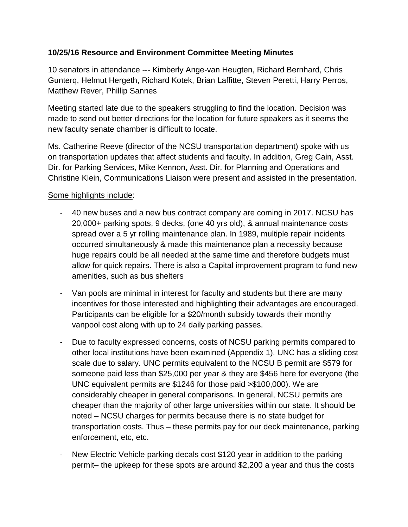# **10/25/16 Resource and Environment Committee Meeting Minutes**

10 senators in attendance --- Kimberly Ange-van Heugten, Richard Bernhard, Chris Gunterq, Helmut Hergeth, Richard Kotek, Brian Laffitte, Steven Peretti, Harry Perros, Matthew Rever, Phillip Sannes

Meeting started late due to the speakers struggling to find the location. Decision was made to send out better directions for the location for future speakers as it seems the new faculty senate chamber is difficult to locate.

Ms. Catherine Reeve (director of the NCSU transportation department) spoke with us on transportation updates that affect students and faculty. In addition, Greg Cain, Asst. Dir. for Parking Services, Mike Kennon, Asst. Dir. for Planning and Operations and Christine Klein, Communications Liaison were present and assisted in the presentation.

## Some highlights include:

- 40 new buses and a new bus contract company are coming in 2017. NCSU has 20,000+ parking spots, 9 decks, (one 40 yrs old), & annual maintenance costs spread over a 5 yr rolling maintenance plan. In 1989, multiple repair incidents occurred simultaneously & made this maintenance plan a necessity because huge repairs could be all needed at the same time and therefore budgets must allow for quick repairs. There is also a Capital improvement program to fund new amenities, such as bus shelters
- Van pools are minimal in interest for faculty and students but there are many incentives for those interested and highlighting their advantages are encouraged. Participants can be eligible for a \$20/month subsidy towards their monthy vanpool cost along with up to 24 daily parking passes.
- Due to faculty expressed concerns, costs of NCSU parking permits compared to other local institutions have been examined (Appendix 1). UNC has a sliding cost scale due to salary. UNC permits equivalent to the NCSU B permit are \$579 for someone paid less than \$25,000 per year & they are \$456 here for everyone (the UNC equivalent permits are \$1246 for those paid >\$100,000). We are considerably cheaper in general comparisons. In general, NCSU permits are cheaper than the majority of other large universities within our state. It should be noted – NCSU charges for permits because there is no state budget for transportation costs. Thus – these permits pay for our deck maintenance, parking enforcement, etc, etc.
- New Electric Vehicle parking decals cost \$120 year in addition to the parking permit– the upkeep for these spots are around \$2,200 a year and thus the costs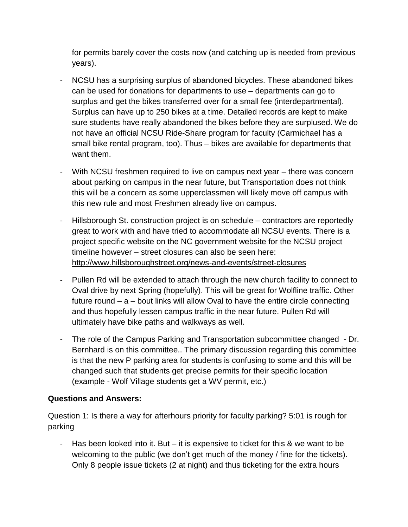for permits barely cover the costs now (and catching up is needed from previous years).

- NCSU has a surprising surplus of abandoned bicycles. These abandoned bikes can be used for donations for departments to use – departments can go to surplus and get the bikes transferred over for a small fee (interdepartmental). Surplus can have up to 250 bikes at a time. Detailed records are kept to make sure students have really abandoned the bikes before they are surplused. We do not have an official NCSU Ride-Share program for faculty (Carmichael has a small bike rental program, too). Thus – bikes are available for departments that want them.
- With NCSU freshmen required to live on campus next year there was concern about parking on campus in the near future, but Transportation does not think this will be a concern as some upperclassmen will likely move off campus with this new rule and most Freshmen already live on campus.
- Hillsborough St. construction project is on schedule contractors are reportedly great to work with and have tried to accommodate all NCSU events. There is a project specific website on the NC government website for the NCSU project timeline however – street closures can also be seen here: <http://www.hillsboroughstreet.org/news-and-events/street-closures>
- Pullen Rd will be extended to attach through the new church facility to connect to Oval drive by next Spring (hopefully). This will be great for Wolfline traffic. Other future round – a – bout links will allow Oval to have the entire circle connecting and thus hopefully lessen campus traffic in the near future. Pullen Rd will ultimately have bike paths and walkways as well.
- The role of the Campus Parking and Transportation subcommittee changed Dr. Bernhard is on this committee.. The primary discussion regarding this committee is that the new P parking area for students is confusing to some and this will be changed such that students get precise permits for their specific location (example - Wolf Village students get a WV permit, etc.)

# **Questions and Answers:**

Question 1: Is there a way for afterhours priority for faculty parking? 5:01 is rough for parking

- Has been looked into it. But – it is expensive to ticket for this & we want to be welcoming to the public (we don't get much of the money / fine for the tickets). Only 8 people issue tickets (2 at night) and thus ticketing for the extra hours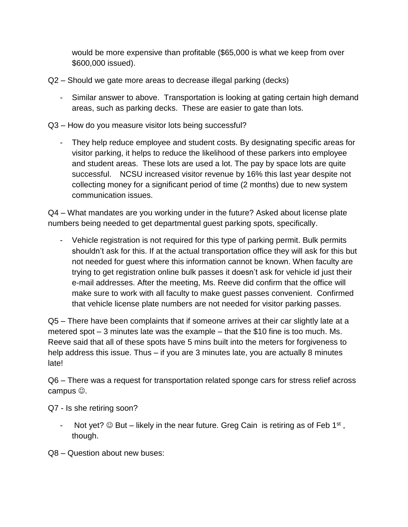would be more expensive than profitable (\$65,000 is what we keep from over \$600,000 issued).

- Q2 Should we gate more areas to decrease illegal parking (decks)
	- Similar answer to above. Transportation is looking at gating certain high demand areas, such as parking decks. These are easier to gate than lots.
- Q3 How do you measure visitor lots being successful?
	- They help reduce employee and student costs. By designating specific areas for visitor parking, it helps to reduce the likelihood of these parkers into employee and student areas. These lots are used a lot. The pay by space lots are quite successful. NCSU increased visitor revenue by 16% this last year despite not collecting money for a significant period of time (2 months) due to new system communication issues.

Q4 – What mandates are you working under in the future? Asked about license plate numbers being needed to get departmental guest parking spots, specifically.

- Vehicle registration is not required for this type of parking permit. Bulk permits shouldn't ask for this. If at the actual transportation office they will ask for this but not needed for guest where this information cannot be known. When faculty are trying to get registration online bulk passes it doesn't ask for vehicle id just their e-mail addresses. After the meeting, Ms. Reeve did confirm that the office will make sure to work with all faculty to make guest passes convenient. Confirmed that vehicle license plate numbers are not needed for visitor parking passes.

Q5 – There have been complaints that if someone arrives at their car slightly late at a metered spot – 3 minutes late was the example – that the \$10 fine is too much. Ms. Reeve said that all of these spots have 5 mins built into the meters for forgiveness to help address this issue. Thus – if you are 3 minutes late, you are actually 8 minutes late!

Q6 – There was a request for transportation related sponge cars for stress relief across campus  $\odot$ .

Q7 - Is she retiring soon?

- Not yet?  $\odot$  But likely in the near future. Greg Cain is retiring as of Feb 1<sup>st</sup>, though.
- Q8 Question about new buses: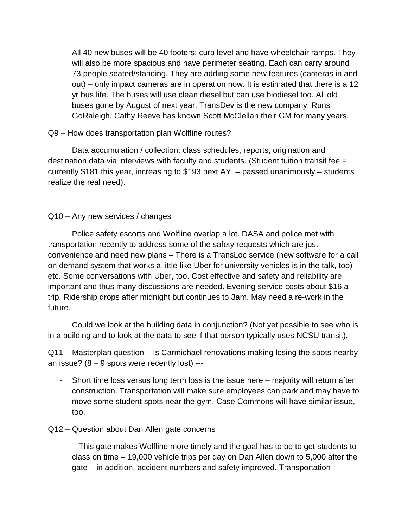- All 40 new buses will be 40 footers; curb level and have wheelchair ramps. They will also be more spacious and have perimeter seating. Each can carry around 73 people seated/standing. They are adding some new features (cameras in and out) – only impact cameras are in operation now. It is estimated that there is a 12 yr bus life. The buses will use clean diesel but can use biodiesel too. All old buses gone by August of next year. TransDev is the new company. Runs GoRaleigh. Cathy Reeve has known Scott McClellan their GM for many years.

### Q9 – How does transportation plan Wolfline routes?

Data accumulation / collection: class schedules, reports, origination and destination data via interviews with faculty and students. (Student tuition transit fee = currently \$181 this year, increasing to \$193 next AY – passed unanimously – students realize the real need).

## Q10 – Any new services / changes

Police safety escorts and Wolfline overlap a lot. DASA and police met with transportation recently to address some of the safety requests which are just convenience and need new plans – There is a TransLoc service (new software for a call on demand system that works a little like Uber for university vehicles is in the talk, too) – etc. Some conversations with Uber, too. Cost effective and safety and reliability are important and thus many discussions are needed. Evening service costs about \$16 a trip. Ridership drops after midnight but continues to 3am. May need a re-work in the future.

Could we look at the building data in conjunction? (Not yet possible to see who is in a building and to look at the data to see if that person typically uses NCSU transit).

Q11 – Masterplan question – Is Carmichael renovations making losing the spots nearby an issue?  $(8 - 9$  spots were recently lost) ---

- Short time loss versus long term loss is the issue here majority will return after construction. Transportation will make sure employees can park and may have to move some student spots near the gym. Case Commons will have similar issue, too.
- Q12 Question about Dan Allen gate concerns

– This gate makes Wolfline more timely and the goal has to be to get students to class on time – 19,000 vehicle trips per day on Dan Allen down to 5,000 after the gate – in addition, accident numbers and safety improved. Transportation